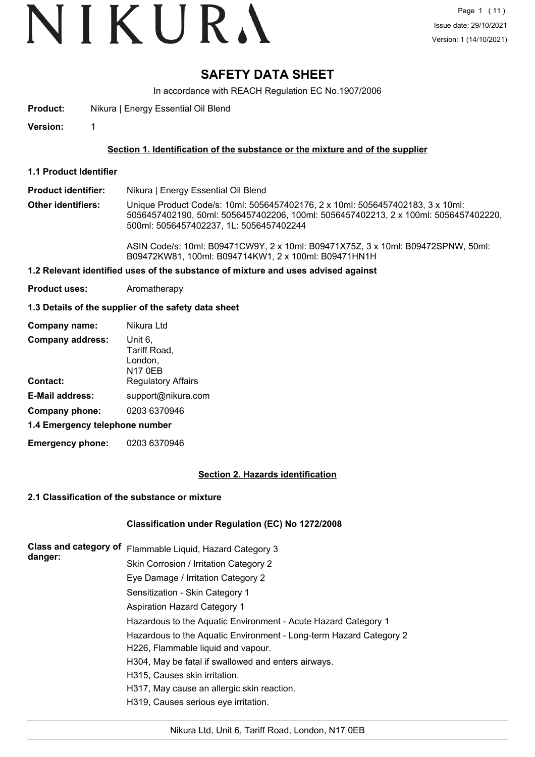## **SAFETY DATA SHEET**

In accordance with REACH Regulation EC No.1907/2006

**Product:** Nikura | Energy Essential Oil Blend

**Version:** 1

#### **Section 1. Identification of the substance or the mixture and of the supplier**

**1.1 Product Identifier**

**Product identifier:** Nikura | Energy Essential Oil Blend

**Other identifiers:** Unique Product Code/s: 10ml: 5056457402176, 2 x 10ml: 5056457402183, 3 x 10ml: 5056457402190, 50ml: 5056457402206, 100ml: 5056457402213, 2 x 100ml: 5056457402220, 500ml: 5056457402237, 1L: 5056457402244

> ASIN Code/s: 10ml: B09471CW9Y, 2 x 10ml: B09471X75Z, 3 x 10ml: B09472SPNW, 50ml: B09472KW81, 100ml: B094714KW1, 2 x 100ml: B09471HN1H

#### **1.2 Relevant identified uses of the substance of mixture and uses advised against**

**Product uses:** Aromatherapy

#### **1.3 Details of the supplier of the safety data sheet**

| Company name:                  | Nikura Ltd                                           |  |  |  |
|--------------------------------|------------------------------------------------------|--|--|--|
| <b>Company address:</b>        | Unit 6,<br>Tariff Road,<br>London,<br><b>N17 0EB</b> |  |  |  |
| <b>Contact:</b>                | <b>Regulatory Affairs</b>                            |  |  |  |
| <b>E-Mail address:</b>         | support@nikura.com                                   |  |  |  |
| Company phone:                 | 0203 6370946                                         |  |  |  |
| 1.4 Emergency telephone number |                                                      |  |  |  |
|                                |                                                      |  |  |  |

**Emergency phone:** 0203 6370946

#### **Section 2. Hazards identification**

#### **2.1 Classification of the substance or mixture**

#### **Classification under Regulation (EC) No 1272/2008**

| Class and category of<br>danger: | Flammable Liquid, Hazard Category 3                                |
|----------------------------------|--------------------------------------------------------------------|
|                                  | Skin Corrosion / Irritation Category 2                             |
|                                  | Eye Damage / Irritation Category 2                                 |
|                                  | Sensitization - Skin Category 1                                    |
|                                  | Aspiration Hazard Category 1                                       |
|                                  | Hazardous to the Aquatic Environment - Acute Hazard Category 1     |
|                                  | Hazardous to the Aquatic Environment - Long-term Hazard Category 2 |
|                                  | H226, Flammable liquid and vapour.                                 |
|                                  | H304, May be fatal if swallowed and enters airways.                |
|                                  | H315, Causes skin irritation.                                      |
|                                  | H317, May cause an allergic skin reaction.                         |
|                                  | H319, Causes serious eye irritation.                               |
|                                  |                                                                    |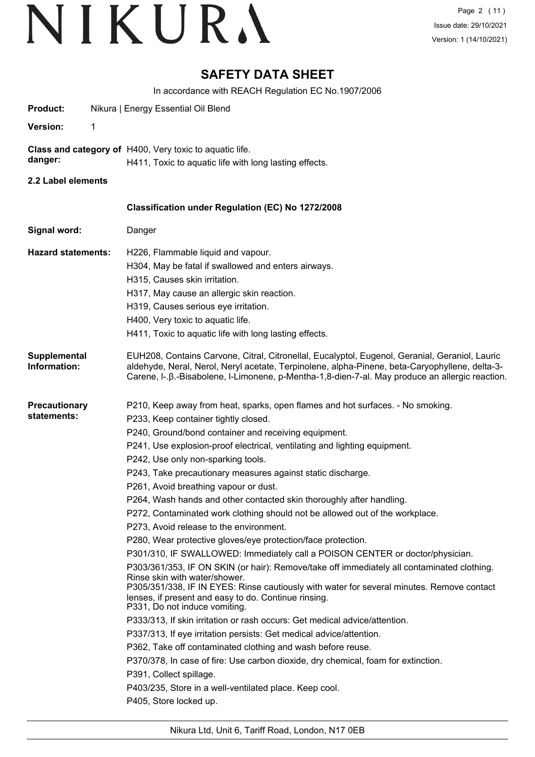## **SAFETY DATA SHEET**

In accordance with REACH Regulation EC No.1907/2006

| Product:                            | Nikura   Energy Essential Oil Blend                                                                                                                                                                                                                                                                  |
|-------------------------------------|------------------------------------------------------------------------------------------------------------------------------------------------------------------------------------------------------------------------------------------------------------------------------------------------------|
| <b>Version:</b><br>1                |                                                                                                                                                                                                                                                                                                      |
|                                     | Class and category of H400, Very toxic to aquatic life.                                                                                                                                                                                                                                              |
| danger:                             | H411, Toxic to aquatic life with long lasting effects.                                                                                                                                                                                                                                               |
| 2.2 Label elements                  |                                                                                                                                                                                                                                                                                                      |
|                                     | Classification under Regulation (EC) No 1272/2008                                                                                                                                                                                                                                                    |
| Signal word:                        | Danger                                                                                                                                                                                                                                                                                               |
|                                     |                                                                                                                                                                                                                                                                                                      |
| <b>Hazard statements:</b>           | H226, Flammable liquid and vapour.                                                                                                                                                                                                                                                                   |
|                                     | H304, May be fatal if swallowed and enters airways.                                                                                                                                                                                                                                                  |
|                                     | H315, Causes skin irritation.                                                                                                                                                                                                                                                                        |
|                                     | H317, May cause an allergic skin reaction.                                                                                                                                                                                                                                                           |
|                                     | H319, Causes serious eye irritation.                                                                                                                                                                                                                                                                 |
|                                     | H400, Very toxic to aquatic life.                                                                                                                                                                                                                                                                    |
|                                     | H411, Toxic to aquatic life with long lasting effects.                                                                                                                                                                                                                                               |
| <b>Supplemental</b><br>Information: | EUH208, Contains Carvone, Citral, Citronellal, Eucalyptol, Eugenol, Geranial, Geraniol, Lauric<br>aldehyde, Neral, Nerol, Neryl acetate, Terpinolene, alpha-Pinene, beta-Caryophyllene, delta-3-<br>Carene, I-. B.-Bisabolene, I-Limonene, p-Mentha-1,8-dien-7-al. May produce an allergic reaction. |
| <b>Precautionary</b>                | P210, Keep away from heat, sparks, open flames and hot surfaces. - No smoking.                                                                                                                                                                                                                       |
| statements:                         | P233, Keep container tightly closed.                                                                                                                                                                                                                                                                 |
|                                     | P240, Ground/bond container and receiving equipment.                                                                                                                                                                                                                                                 |
|                                     | P241, Use explosion-proof electrical, ventilating and lighting equipment.                                                                                                                                                                                                                            |
|                                     | P242, Use only non-sparking tools.                                                                                                                                                                                                                                                                   |
|                                     | P243, Take precautionary measures against static discharge.                                                                                                                                                                                                                                          |
|                                     | P261, Avoid breathing vapour or dust.                                                                                                                                                                                                                                                                |
|                                     | P264, Wash hands and other contacted skin thoroughly after handling.                                                                                                                                                                                                                                 |
|                                     | P272, Contaminated work clothing should not be allowed out of the workplace.                                                                                                                                                                                                                         |
|                                     | P273, Avoid release to the environment.                                                                                                                                                                                                                                                              |
|                                     | P280, Wear protective gloves/eye protection/face protection.                                                                                                                                                                                                                                         |
|                                     | P301/310, IF SWALLOWED: Immediately call a POISON CENTER or doctor/physician.                                                                                                                                                                                                                        |
|                                     | P303/361/353, IF ON SKIN (or hair): Remove/take off immediately all contaminated clothing.<br>Rinse skin with water/shower.                                                                                                                                                                          |
|                                     | P305/351/338, IF IN EYES: Rinse cautiously with water for several minutes. Remove contact<br>lenses, if present and easy to do. Continue rinsing.<br>P331, Do not induce vomiting.                                                                                                                   |
|                                     | P333/313, If skin irritation or rash occurs: Get medical advice/attention.                                                                                                                                                                                                                           |
|                                     | P337/313, If eye irritation persists: Get medical advice/attention.                                                                                                                                                                                                                                  |
|                                     | P362, Take off contaminated clothing and wash before reuse.                                                                                                                                                                                                                                          |
|                                     | P370/378, In case of fire: Use carbon dioxide, dry chemical, foam for extinction.                                                                                                                                                                                                                    |
|                                     | P391, Collect spillage.                                                                                                                                                                                                                                                                              |
|                                     | P403/235, Store in a well-ventilated place. Keep cool.                                                                                                                                                                                                                                               |
|                                     | P405, Store locked up.                                                                                                                                                                                                                                                                               |
|                                     |                                                                                                                                                                                                                                                                                                      |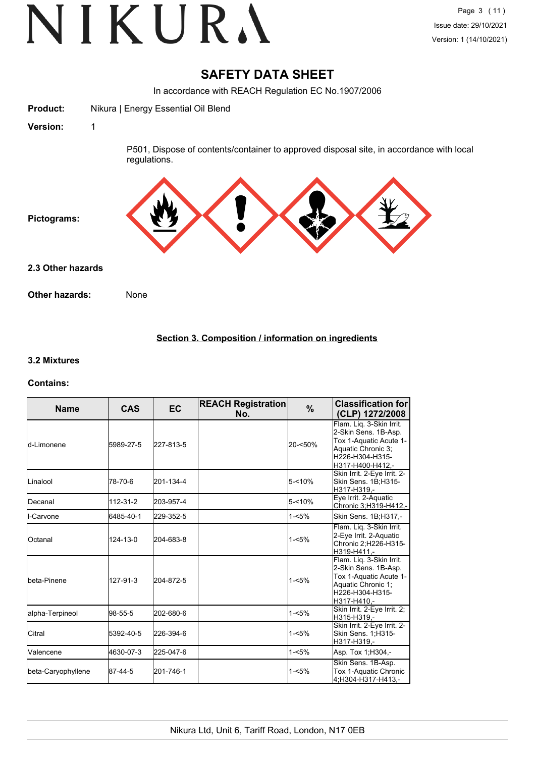## **SAFETY DATA SHEET**

In accordance with REACH Regulation EC No.1907/2006

**Product:** Nikura | Energy Essential Oil Blend

**Version:** 1

P501, Dispose of contents/container to approved disposal site, in accordance with local regulations.



**2.3 Other hazards**

**Other hazards:** None

### **Section 3. Composition / information on ingredients**

#### **3.2 Mixtures**

#### **Contains:**

| <b>Name</b>        | <b>CAS</b> | <b>EC</b> | <b>REACH Registration</b><br>No. | $\%$      | <b>Classification for</b><br>(CLP) 1272/2008                                                                                            |
|--------------------|------------|-----------|----------------------------------|-----------|-----------------------------------------------------------------------------------------------------------------------------------------|
| ld-Limonene        | 5989-27-5  | 227-813-5 |                                  | 20-<50%   | Flam. Lig. 3-Skin Irrit.<br>2-Skin Sens. 1B-Asp.<br>Tox 1-Aquatic Acute 1-<br>Aquatic Chronic 3;<br>H226-H304-H315-<br>H317-H400-H412,- |
| ILinalool          | 78-70-6    | 201-134-4 |                                  | $5 - 10%$ | Skin Irrit. 2-Eye Irrit. 2-<br>Skin Sens. 1B;H315-<br>H317-H319.-                                                                       |
| <b>I</b> Decanal   | 112-31-2   | 203-957-4 |                                  | $5 - 10%$ | Eye Irrit. 2-Aquatic<br>Chronic 3;H319-H412,-                                                                                           |
| <b>I</b> I-Carvone | 6485-40-1  | 229-352-5 |                                  | $1 - 5%$  | Skin Sens. 1B; H317,-                                                                                                                   |
| IOctanal           | 124-13-0   | 204-683-8 |                                  | $1 - 5%$  | Flam. Liq. 3-Skin Irrit.<br>2-Eye Irrit. 2-Aquatic<br>Chronic 2; H226-H315-<br>H319-H411.-                                              |
| Ibeta-Pinene       | 127-91-3   | 204-872-5 |                                  | $1 - 5%$  | Flam. Lig. 3-Skin Irrit.<br>2-Skin Sens. 1B-Asp.<br>Tox 1-Aquatic Acute 1-<br>Aquatic Chronic 1;<br>H226-H304-H315-<br>H317-H410,-      |
| alpha-Terpineol    | 98-55-5    | 202-680-6 |                                  | $1 - 5%$  | Skin Irrit. 2-Eye Irrit. 2;<br>H315-H319.-                                                                                              |
| Citral             | 5392-40-5  | 226-394-6 |                                  | $1 - 5%$  | Skin Irrit. 2-Eye Irrit. 2-<br>Skin Sens. 1;H315-<br>H317-H319,-                                                                        |
| <b>Valencene</b>   | 4630-07-3  | 225-047-6 |                                  | $1 - 5%$  | Asp. Tox 1; H304,-                                                                                                                      |
| beta-Caryophyllene | 87-44-5    | 201-746-1 |                                  | $1 - 5%$  | Skin Sens. 1B-Asp.<br>Tox 1-Aquatic Chronic<br>4:H304-H317-H413.-                                                                       |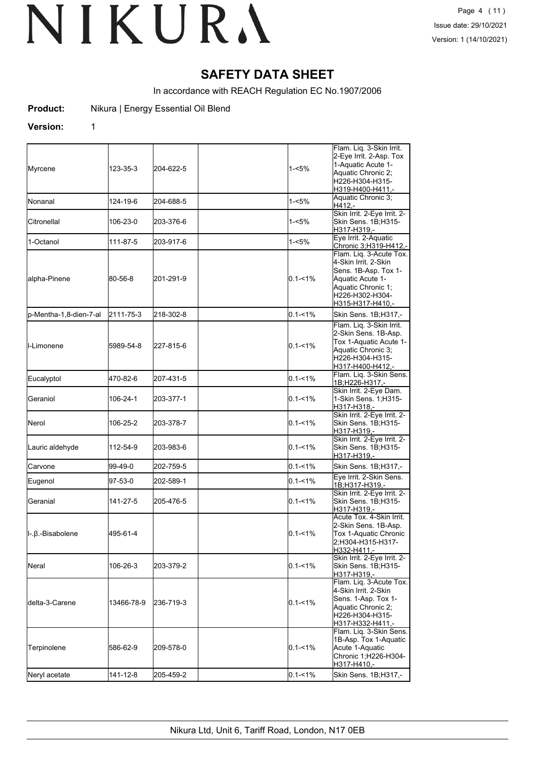## **SAFETY DATA SHEET**

In accordance with REACH Regulation EC No.1907/2006

**Product:** Nikura | Energy Essential Oil Blend

#### **Version:** 1

| Myrcene                | 123-35-3   | 204-622-5 | 1-<5%       | Flam. Liq. 3-Skin Irrit.<br>2-Eye Irrit. 2-Asp. Tox<br>1-Aquatic Acute 1-<br>Aquatic Chronic 2;<br>H226-H304-H315-                                       |
|------------------------|------------|-----------|-------------|----------------------------------------------------------------------------------------------------------------------------------------------------------|
| <b>I</b> Nonanal       | 124-19-6   | 204-688-5 | $1 - 5%$    | H319-H400-H411,-<br>Aquatic Chronic 3;<br>H412.-                                                                                                         |
| Citronellal            | 106-23-0   | 203-376-6 | 1-<5%       | Skin Irrit. 2-Eye Irrit. 2-<br>Skin Sens. 1B;H315-<br>H317-H319,-                                                                                        |
| 1-Octanol              | 111-87-5   | 203-917-6 | 1-<5%       | Eye Irrit. 2-Aquatic<br>Chronic 3; H319-H412,-                                                                                                           |
| alpha-Pinene           | 80-56-8    | 201-291-9 | $0.1 - 1\%$ | Flam. Lig. 3-Acute Tox.<br>4-Skin Irrit. 2-Skin<br>Sens. 1B-Asp. Tox 1-<br>Aquatic Acute 1-<br>Aquatic Chronic 1:<br>H226-H302-H304-<br>H315-H317-H410,- |
| p-Mentha-1,8-dien-7-al | 2111-75-3  | 218-302-8 | $0.1 - 1\%$ | Skin Sens. 1B;H317,-                                                                                                                                     |
| <b>I</b> I-Limonene    | 5989-54-8  | 227-815-6 | $0.1 - 1\%$ | Flam. Liq. 3-Skin Irrit.<br>2-Skin Sens. 1B-Asp.<br>Tox 1-Aquatic Acute 1-<br>Aquatic Chronic 3;<br>H226-H304-H315-<br>H317-H400-H412,-                  |
| Eucalyptol             | 470-82-6   | 207-431-5 | $0.1 - 1\%$ | Flam. Lig. 3-Skin Sens.<br>1B;H226-H317,-                                                                                                                |
| Geraniol               | 106-24-1   | 203-377-1 | $0.1 - 1\%$ | Skin Irrit. 2-Eye Dam.<br>1-Skin Sens. 1;H315-<br>H317-H318,-                                                                                            |
| Nerol                  | 106-25-2   | 203-378-7 | $0.1 - 1\%$ | Skin Irrit. 2-Eye Irrit. 2-<br>Skin Sens. 1B;H315-<br>H317-H319,-                                                                                        |
| Lauric aldehyde        | 112-54-9   | 203-983-6 | $0.1 - 1\%$ | Skin Irrit. 2-Eye Irrit. 2-<br>Skin Sens. 1B;H315-<br>H317-H319,-                                                                                        |
| Carvone                | 99-49-0    | 202-759-5 | $0.1 - 1\%$ | Skin Sens. 1B; H317,-                                                                                                                                    |
| Eugenol                | 97-53-0    | 202-589-1 | $0.1 - 1\%$ | Eye Irrit. 2-Skin Sens.<br>1B;H317-H319,-                                                                                                                |
| Geranial               | 141-27-5   | 205-476-5 | $0.1 - 1\%$ | Skin Irrit. 2-Eye Irrit. 2-<br>Skin Sens. 1B;H315-<br>H317-H319,-                                                                                        |
| l-.β.-Bisabolene       | 495-61-4   |           | $0.1 - 1\%$ | Acute Tox. 4-Skin Irrit.<br>2-Skin Sens. 1B-Asp.<br>Tox 1-Aquatic Chronic<br>2;H304-H315-H317-<br>H332-H411,-                                            |
| Neral                  | 106-26-3   | 203-379-2 | $0.1 - 1\%$ | Skin Irrit. 2-Eye Irrit. 2-<br>Skin Sens. 1B;H315-<br>H317-H319,-                                                                                        |
| ldelta-3-Carene        | 13466-78-9 | 236-719-3 | $0.1 - 1\%$ | Flam. Lig. 3-Acute Tox.<br>4-Skin Irrit. 2-Skin<br>Sens. 1-Asp. Tox 1-<br>Aquatic Chronic 2;<br>H226-H304-H315-<br>H317-H332-H411,-                      |
| Terpinolene            | 586-62-9   | 209-578-0 | $0.1 - 1\%$ | Flam. Lig. 3-Skin Sens.<br>1B-Asp. Tox 1-Aquatic<br>Acute 1-Aquatic<br>Chronic 1;H226-H304-<br>H317-H410,-                                               |
| Neryl acetate          | 141-12-8   | 205-459-2 | $0.1 - 1\%$ | Skin Sens. 1B;H317,-                                                                                                                                     |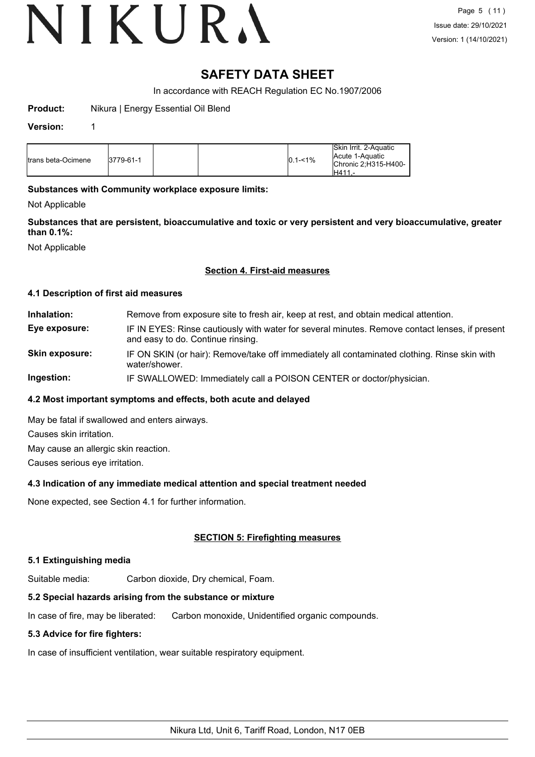## **SAFETY DATA SHEET**

In accordance with REACH Regulation EC No.1907/2006

**Product:** Nikura | Energy Essential Oil Blend

#### **Version:** 1

| <b>I</b> trans beta-Ocimene | 3779-61-1 |  |  | $0.1 - 1\%$ | Skin Irrit. 2-Aquatic<br>Acute 1-Aquatic<br>Chronic 2:H315-H400-<br>IH411 |
|-----------------------------|-----------|--|--|-------------|---------------------------------------------------------------------------|
|-----------------------------|-----------|--|--|-------------|---------------------------------------------------------------------------|

#### **Substances with Community workplace exposure limits:**

Not Applicable

**Substances that are persistent, bioaccumulative and toxic or very persistent and very bioaccumulative, greater than 0.1%:**

Not Applicable

#### **Section 4. First-aid measures**

#### **4.1 Description of first aid measures**

**Inhalation:** Remove from exposure site to fresh air, keep at rest, and obtain medical attention. **Eye exposure:** IF IN EYES: Rinse cautiously with water for several minutes. Remove contact lenses, if present and easy to do. Continue rinsing. **Skin exposure:** IF ON SKIN (or hair): Remove/take off immediately all contaminated clothing. Rinse skin with water/shower.

**Ingestion:** IF SWALLOWED: Immediately call a POISON CENTER or doctor/physician.

#### **4.2 Most important symptoms and effects, both acute and delayed**

May be fatal if swallowed and enters airways.

Causes skin irritation.

May cause an allergic skin reaction.

Causes serious eye irritation.

#### **4.3 Indication of any immediate medical attention and special treatment needed**

None expected, see Section 4.1 for further information.

### **SECTION 5: Firefighting measures**

#### **5.1 Extinguishing media**

Suitable media: Carbon dioxide, Dry chemical, Foam.

## **5.2 Special hazards arising from the substance or mixture**

In case of fire, may be liberated: Carbon monoxide, Unidentified organic compounds.

## **5.3 Advice for fire fighters:**

In case of insufficient ventilation, wear suitable respiratory equipment.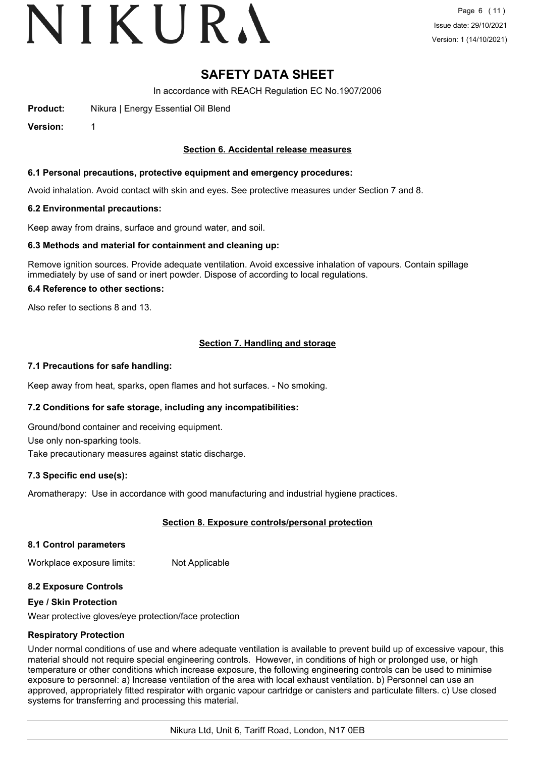## **SAFETY DATA SHEET**

In accordance with REACH Regulation EC No.1907/2006

**Product:** Nikura | Energy Essential Oil Blend

**Version:** 1

#### **Section 6. Accidental release measures**

#### **6.1 Personal precautions, protective equipment and emergency procedures:**

Avoid inhalation. Avoid contact with skin and eyes. See protective measures under Section 7 and 8.

#### **6.2 Environmental precautions:**

Keep away from drains, surface and ground water, and soil.

#### **6.3 Methods and material for containment and cleaning up:**

Remove ignition sources. Provide adequate ventilation. Avoid excessive inhalation of vapours. Contain spillage immediately by use of sand or inert powder. Dispose of according to local regulations.

#### **6.4 Reference to other sections:**

Also refer to sections 8 and 13.

### **Section 7. Handling and storage**

#### **7.1 Precautions for safe handling:**

Keep away from heat, sparks, open flames and hot surfaces. - No smoking.

### **7.2 Conditions for safe storage, including any incompatibilities:**

Ground/bond container and receiving equipment.

Use only non-sparking tools.

Take precautionary measures against static discharge.

#### **7.3 Specific end use(s):**

Aromatherapy: Use in accordance with good manufacturing and industrial hygiene practices.

### **Section 8. Exposure controls/personal protection**

#### **8.1 Control parameters**

Workplace exposure limits: Not Applicable

#### **8.2 Exposure Controls**

#### **Eye / Skin Protection**

Wear protective gloves/eye protection/face protection

#### **Respiratory Protection**

Under normal conditions of use and where adequate ventilation is available to prevent build up of excessive vapour, this material should not require special engineering controls. However, in conditions of high or prolonged use, or high temperature or other conditions which increase exposure, the following engineering controls can be used to minimise exposure to personnel: a) Increase ventilation of the area with local exhaust ventilation. b) Personnel can use an approved, appropriately fitted respirator with organic vapour cartridge or canisters and particulate filters. c) Use closed systems for transferring and processing this material.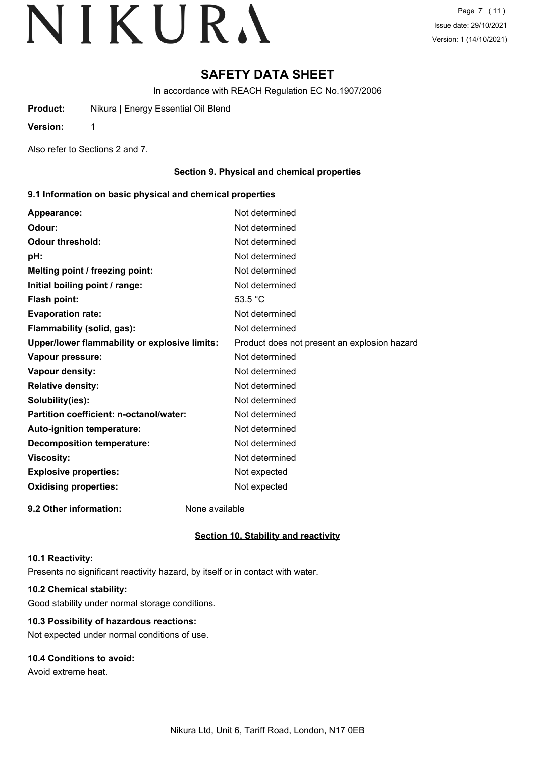Page 7 (11) Issue date: 29/10/2021 Version: 1 (14/10/2021)

## **SAFETY DATA SHEET**

In accordance with REACH Regulation EC No.1907/2006

**Product:** Nikura | Energy Essential Oil Blend

**Version:** 1

Also refer to Sections 2 and 7.

### **Section 9. Physical and chemical properties**

#### **9.1 Information on basic physical and chemical properties**

| Appearance:                                   | Not determined                               |
|-----------------------------------------------|----------------------------------------------|
| Odour:                                        | Not determined                               |
| <b>Odour threshold:</b>                       | Not determined                               |
| pH:                                           | Not determined                               |
| Melting point / freezing point:               | Not determined                               |
| Initial boiling point / range:                | Not determined                               |
| Flash point:                                  | 53.5 $^{\circ}$ C                            |
| <b>Evaporation rate:</b>                      | Not determined                               |
| Flammability (solid, gas):                    | Not determined                               |
| Upper/lower flammability or explosive limits: | Product does not present an explosion hazard |
| Vapour pressure:                              | Not determined                               |
| Vapour density:                               | Not determined                               |
| <b>Relative density:</b>                      | Not determined                               |
| Solubility(ies):                              | Not determined                               |
| Partition coefficient: n-octanol/water:       | Not determined                               |
| Auto-ignition temperature:                    | Not determined                               |
| <b>Decomposition temperature:</b>             | Not determined                               |
| <b>Viscosity:</b>                             | Not determined                               |
| <b>Explosive properties:</b>                  | Not expected                                 |
| <b>Oxidising properties:</b>                  | Not expected                                 |
|                                               |                                              |

**9.2 Other information:** None available

## **Section 10. Stability and reactivity**

#### **10.1 Reactivity:**

Presents no significant reactivity hazard, by itself or in contact with water.

## **10.2 Chemical stability:**

Good stability under normal storage conditions.

## **10.3 Possibility of hazardous reactions:**

Not expected under normal conditions of use.

## **10.4 Conditions to avoid:**

Avoid extreme heat.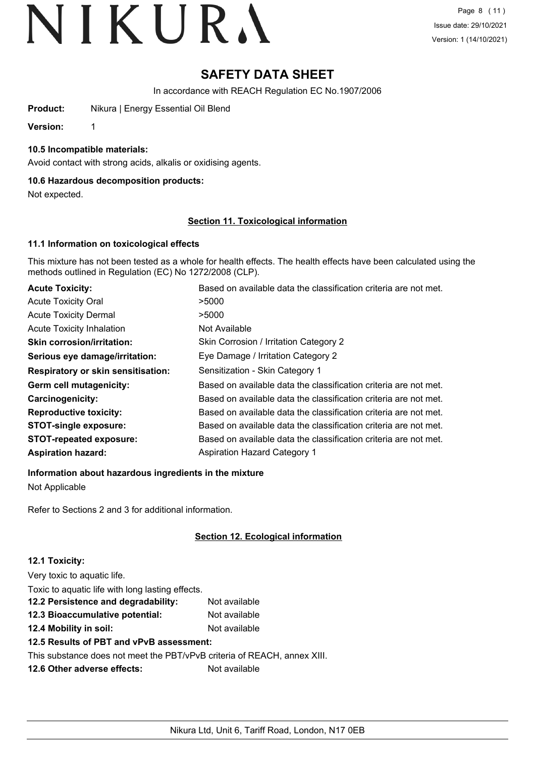## **SAFETY DATA SHEET**

In accordance with REACH Regulation EC No.1907/2006

**Product:** Nikura | Energy Essential Oil Blend

**Version:** 1

#### **10.5 Incompatible materials:**

Avoid contact with strong acids, alkalis or oxidising agents.

#### **10.6 Hazardous decomposition products:**

Not expected.

#### **Section 11. Toxicological information**

#### **11.1 Information on toxicological effects**

This mixture has not been tested as a whole for health effects. The health effects have been calculated using the methods outlined in Regulation (EC) No 1272/2008 (CLP).

| <b>Acute Toxicity:</b>                    | Based on available data the classification criteria are not met. |
|-------------------------------------------|------------------------------------------------------------------|
| <b>Acute Toxicity Oral</b>                | >5000                                                            |
| <b>Acute Toxicity Dermal</b>              | >5000                                                            |
| <b>Acute Toxicity Inhalation</b>          | Not Available                                                    |
| <b>Skin corrosion/irritation:</b>         | Skin Corrosion / Irritation Category 2                           |
| Serious eye damage/irritation:            | Eye Damage / Irritation Category 2                               |
| <b>Respiratory or skin sensitisation:</b> | Sensitization - Skin Category 1                                  |
| Germ cell mutagenicity:                   | Based on available data the classification criteria are not met. |
| <b>Carcinogenicity:</b>                   | Based on available data the classification criteria are not met. |
| <b>Reproductive toxicity:</b>             | Based on available data the classification criteria are not met. |
| <b>STOT-single exposure:</b>              | Based on available data the classification criteria are not met. |
| <b>STOT-repeated exposure:</b>            | Based on available data the classification criteria are not met. |
| <b>Aspiration hazard:</b>                 | <b>Aspiration Hazard Category 1</b>                              |

#### **Information about hazardous ingredients in the mixture**

Not Applicable

Refer to Sections 2 and 3 for additional information.

### **Section 12. Ecological information**

#### **12.1 Toxicity:**

Very toxic to aquatic life. Toxic to aquatic life with long lasting effects. **12.2 Persistence and degradability:** Not available **12.3 Bioaccumulative potential:** Not available **12.4 Mobility in soil:** Not available **12.5 Results of PBT and vPvB assessment:** This substance does not meet the PBT/vPvB criteria of REACH, annex XIII. **12.6 Other adverse effects:** Not available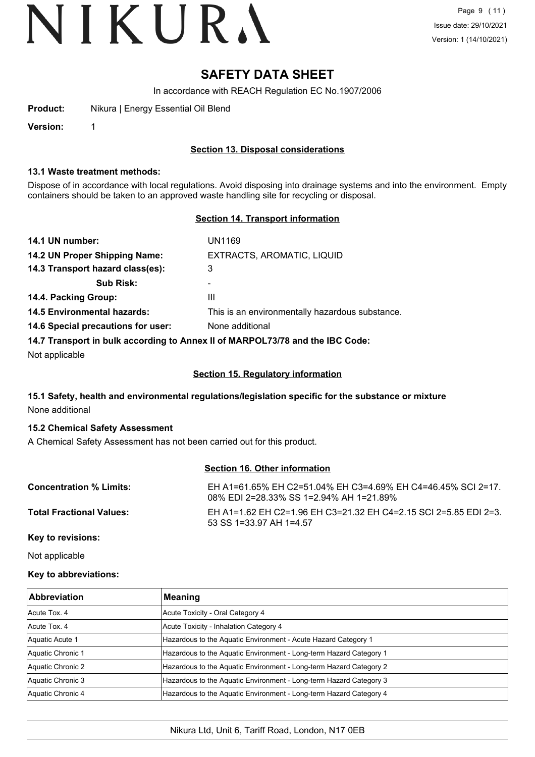## **SAFETY DATA SHEET**

In accordance with REACH Regulation EC No.1907/2006

**Product:** Nikura | Energy Essential Oil Blend

**Version:** 1

#### **Section 13. Disposal considerations**

#### **13.1 Waste treatment methods:**

Dispose of in accordance with local regulations. Avoid disposing into drainage systems and into the environment. Empty containers should be taken to an approved waste handling site for recycling or disposal.

#### **Section 14. Transport information**

| 14.1 UN number:                                                               | UN1169                                          |  |  |
|-------------------------------------------------------------------------------|-------------------------------------------------|--|--|
| 14.2 UN Proper Shipping Name:                                                 | EXTRACTS, AROMATIC, LIQUID                      |  |  |
| 14.3 Transport hazard class(es):                                              | 3                                               |  |  |
| <b>Sub Risk:</b>                                                              | -                                               |  |  |
| 14.4. Packing Group:                                                          | Ш                                               |  |  |
| <b>14.5 Environmental hazards:</b>                                            | This is an environmentally hazardous substance. |  |  |
| 14.6 Special precautions for user:                                            | None additional                                 |  |  |
| 14.7 Transport in bulk according to Annex II of MARPOL73/78 and the IBC Code: |                                                 |  |  |

Not applicable

#### **Section 15. Regulatory information**

### **15.1 Safety, health and environmental regulations/legislation specific for the substance or mixture** None additional

#### **15.2 Chemical Safety Assessment**

A Chemical Safety Assessment has not been carried out for this product.

#### **Section 16. Other information**

| <b>Concentration % Limits:</b>  | EH A1=61.65% EH C2=51.04% EH C3=4.69% EH C4=46.45% SCI 2=17.<br>08% EDI 2=28.33% SS 1=2.94% AH 1=21.89% |
|---------------------------------|---------------------------------------------------------------------------------------------------------|
| <b>Total Fractional Values:</b> | EH A1=1.62 EH C2=1.96 EH C3=21.32 EH C4=2.15 SCI 2=5.85 EDI 2=3.<br>53 SS 1=33.97 AH 1=4.57             |

**Key to revisions:**

Not applicable

#### **Key to abbreviations:**

| <b>Abbreviation</b> | Meaning                                                            |
|---------------------|--------------------------------------------------------------------|
| Acute Tox, 4        | Acute Toxicity - Oral Category 4                                   |
| Acute Tox, 4        | Acute Toxicity - Inhalation Category 4                             |
| Aquatic Acute 1     | Hazardous to the Aquatic Environment - Acute Hazard Category 1     |
| Aquatic Chronic 1   | Hazardous to the Aquatic Environment - Long-term Hazard Category 1 |
| Aquatic Chronic 2   | Hazardous to the Aquatic Environment - Long-term Hazard Category 2 |
| Aquatic Chronic 3   | Hazardous to the Aquatic Environment - Long-term Hazard Category 3 |
| Aquatic Chronic 4   | Hazardous to the Aquatic Environment - Long-term Hazard Category 4 |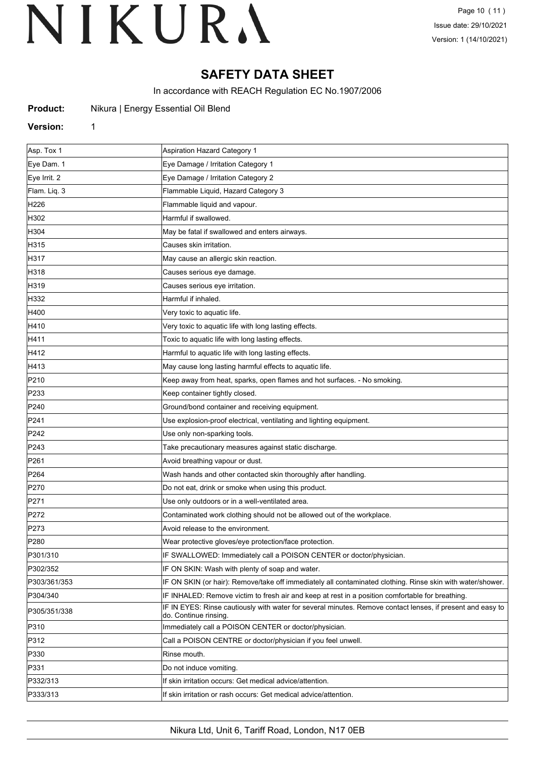# **SAFETY DATA SHEET**

In accordance with REACH Regulation EC No.1907/2006

| Nikura   Energy Essential Oil Blend<br><b>Product:</b> |  |
|--------------------------------------------------------|--|
|--------------------------------------------------------|--|

#### **Version:** 1

| Asp. Tox 1       | <b>Aspiration Hazard Category 1</b>                                                                                                 |
|------------------|-------------------------------------------------------------------------------------------------------------------------------------|
| Eye Dam. 1       | Eye Damage / Irritation Category 1                                                                                                  |
| Eye Irrit. 2     | Eye Damage / Irritation Category 2                                                                                                  |
| Flam. Liq. 3     | Flammable Liquid, Hazard Category 3                                                                                                 |
| H226             | Flammable liquid and vapour.                                                                                                        |
| H302             | Harmful if swallowed.                                                                                                               |
| H304             | May be fatal if swallowed and enters airways.                                                                                       |
| H315             | Causes skin irritation.                                                                                                             |
| H317             | May cause an allergic skin reaction.                                                                                                |
| H318             | Causes serious eye damage.                                                                                                          |
| H319             | Causes serious eye irritation.                                                                                                      |
| H332             | Harmful if inhaled.                                                                                                                 |
| H400             | Very toxic to aquatic life.                                                                                                         |
| H410             | Very toxic to aquatic life with long lasting effects.                                                                               |
| H411             | Toxic to aquatic life with long lasting effects.                                                                                    |
| H412             | Harmful to aquatic life with long lasting effects.                                                                                  |
| H413             | May cause long lasting harmful effects to aquatic life.                                                                             |
| P210             | Keep away from heat, sparks, open flames and hot surfaces. - No smoking.                                                            |
| P233             | Keep container tightly closed.                                                                                                      |
| P240             | Ground/bond container and receiving equipment.                                                                                      |
| P241             | Use explosion-proof electrical, ventilating and lighting equipment.                                                                 |
| P242             | Use only non-sparking tools.                                                                                                        |
| P243             | Take precautionary measures against static discharge.                                                                               |
| P261             | Avoid breathing vapour or dust.                                                                                                     |
| P <sub>264</sub> | Wash hands and other contacted skin thoroughly after handling.                                                                      |
| P270             | Do not eat, drink or smoke when using this product.                                                                                 |
| P271             | Use only outdoors or in a well-ventilated area.                                                                                     |
| P272             | Contaminated work clothing should not be allowed out of the workplace.                                                              |
| P273             | Avoid release to the environment.                                                                                                   |
| P <sub>280</sub> | Wear protective gloves/eye protection/face protection.                                                                              |
| P301/310         | IF SWALLOWED: Immediately call a POISON CENTER or doctor/physician.                                                                 |
| P302/352         | IF ON SKIN: Wash with plenty of soap and water.                                                                                     |
| P303/361/353     | IF ON SKIN (or hair): Remove/take off immediately all contaminated clothing. Rinse skin with water/shower.                          |
| P304/340         | IF INHALED: Remove victim to fresh air and keep at rest in a position comfortable for breathing.                                    |
| P305/351/338     | IF IN EYES: Rinse cautiously with water for several minutes. Remove contact lenses, if present and easy to<br>do. Continue rinsing. |
| P310             | Immediately call a POISON CENTER or doctor/physician.                                                                               |
| P312             | Call a POISON CENTRE or doctor/physician if you feel unwell.                                                                        |
| P330             | Rinse mouth.                                                                                                                        |
| P331             | Do not induce vomiting.                                                                                                             |
| P332/313         | If skin irritation occurs: Get medical advice/attention.                                                                            |
| P333/313         | If skin irritation or rash occurs: Get medical advice/attention.                                                                    |